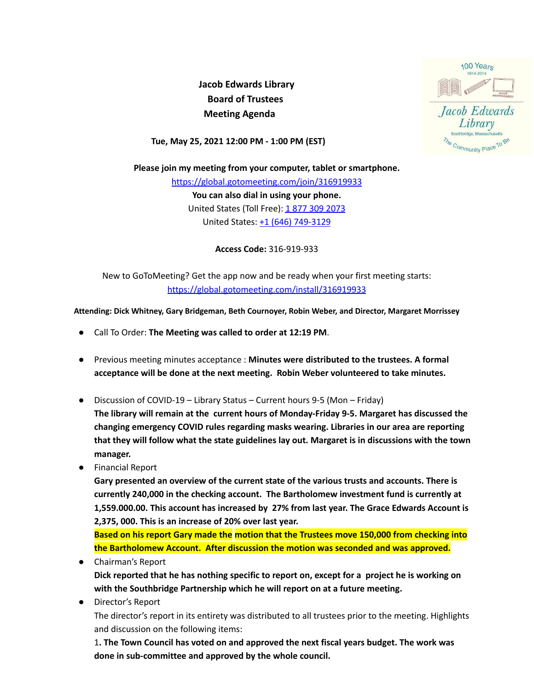**Jacob Edwards Library Board of Trustees Meeting Agenda**



**Tue, May 25, 2021 12:00 PM - 1:00 PM (EST)**

**Please join my meeting from your computer, tablet or smartphone.** [https://global.gotomeeting.com/join/316919933](https://eur01.safelinks.protection.outlook.com/?url=https%3A%2F%2Fglobal.gotomeeting.com%2Fjoin%2F316919933&data=04%7C01%7C%7Cf220f6327b64440b4dbd08d8d2aac129%7C28042244bb514cd680347776fa3703e8%7C1%7C0%7C637490978120613356%7CUnknown%7CTWFpbGZsb3d8eyJWIjoiMC4wLjAwMDAiLCJQIjoiV2luMzIiLCJBTiI6Ik1haWwiLCJXVCI6Mn0%3D%7C1000&sdata=FMxcBaXF3GwJK9sSI87F9zEpQOJ%2B20DLtfXxRAwGX08%3D&reserved=0) **You can also dial in using your phone.** United States (Toll Free): 1877 309 [2073](tel:+18773092073,,316919933) United States: +1 (646) [749-3129](tel:+16467493129,,316919933)

**Access Code:** 316-919-933

New to GoToMeeting? Get the app now and be ready when your first meeting starts: [https://global.gotomeeting.com/install/316919933](https://eur01.safelinks.protection.outlook.com/?url=https%3A%2F%2Fglobal.gotomeeting.com%2Finstall%2F316919933&data=04%7C01%7C%7Cf220f6327b64440b4dbd08d8d2aac129%7C28042244bb514cd680347776fa3703e8%7C1%7C0%7C637490978120623353%7CUnknown%7CTWFpbGZsb3d8eyJWIjoiMC4wLjAwMDAiLCJQIjoiV2luMzIiLCJBTiI6Ik1haWwiLCJXVCI6Mn0%3D%7C1000&sdata=t3aGChv1P6T27f5vg181bGQJhFve6ZUCvSxva0n4dNg%3D&reserved=0)

**Attending: Dick Whitney, Gary Bridgeman, Beth Cournoyer, Robin Weber, and Director, Margaret Morrissey**

- Call To Order: **The Meeting was called to order at 12:19 PM**.
- Previous meeting minutes acceptance : **Minutes were distributed to the trustees. A formal acceptance will be done at the next meeting. Robin Weber volunteered to take minutes.**
- Discussion of COVID-19 Library Status Current hours 9-5 (Mon Friday)

**The library will remain at the current hours of Monday-Friday 9-5. Margaret has discussed the changing emergency COVID rules regarding masks wearing. Libraries in our area are reporting that they will follow what the state guidelines lay out. Margaret is in discussions with the town manager.**

● Financial Report

**Gary presented an overview of the current state of the various trusts and accounts. There is currently 240,000 in the checking account. The Bartholomew investment fund is currently at 1,559.000.00. This account has increased by 27% from last year. The Grace Edwards Account is 2,375, 000. This is an increase of 20% over last year.**

**Based on his report Gary made the motion that the Trustees move 150,000 from checking into the Bartholomew Account. After discussion the motion was seconded and was approved.**

● Chairman's Report

**Dick reported that he has nothing specific to report on, except for a project he is working on with the Southbridge Partnership which he will report on at a future meeting.**

● Director's Report

The director's report in its entirety was distributed to all trustees prior to the meeting. Highlights and discussion on the following items:

1**. The Town Council has voted on and approved the next fiscal years budget. The work was done in sub-committee and approved by the whole council.**